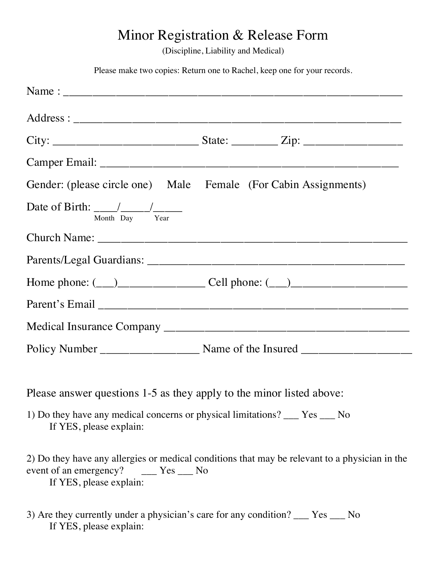## Minor Registration & Release Form

(Discipline, Liability and Medical)

Please make two copies: Return one to Rachel, keep one for your records.

| Gender: (please circle one) Male Female (For Cabin Assignments)                                                                                                          |  |  |  |  |  |
|--------------------------------------------------------------------------------------------------------------------------------------------------------------------------|--|--|--|--|--|
| Date of Birth: $\frac{1}{\text{Month}} \frac{1}{\text{Day}} \frac{1}{\text{Year}}$                                                                                       |  |  |  |  |  |
|                                                                                                                                                                          |  |  |  |  |  |
|                                                                                                                                                                          |  |  |  |  |  |
| Home phone: $(\_\_)$ Cell phone: $(\_\_)$                                                                                                                                |  |  |  |  |  |
|                                                                                                                                                                          |  |  |  |  |  |
|                                                                                                                                                                          |  |  |  |  |  |
|                                                                                                                                                                          |  |  |  |  |  |
|                                                                                                                                                                          |  |  |  |  |  |
| Please answer questions 1-5 as they apply to the minor listed above:                                                                                                     |  |  |  |  |  |
| 1) Do they have any medical concerns or physical limitations? ___ Yes ___ No<br>If YES, please explain:                                                                  |  |  |  |  |  |
| 2) Do they have any allergies or medical conditions that may be relevant to a physician in the<br>event of an emergency? _______ Yes _____ No<br>If YES, please explain: |  |  |  |  |  |

3) Are they currently under a physician's care for any condition? \_\_\_ Yes \_\_\_ No If YES, please explain: